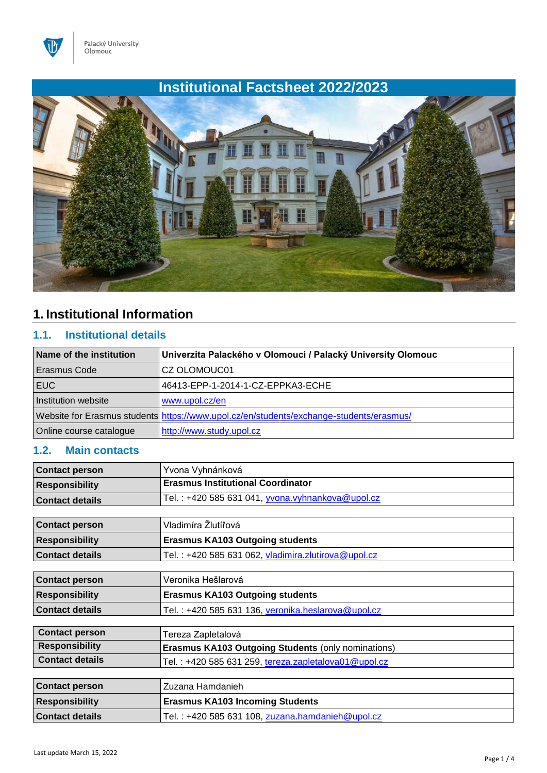

# **Institutional Factsheet 2022/2023**



# **1. Institutional Information**

### **1.1. Institutional details**

| Name of the institution | Univerzita Palackého v Olomouci / Palacký University Olomouc                            |
|-------------------------|-----------------------------------------------------------------------------------------|
| Erasmus Code            | CZ OLOMOUC01                                                                            |
| EUC.                    | 46413-EPP-1-2014-1-CZ-EPPKA3-ECHE                                                       |
| Institution website     | www.upol.cz/en                                                                          |
|                         | Website for Erasmus students https://www.upol.cz/en/students/exchange-students/erasmus/ |
| Online course catalogue | http://www.study.upol.cz                                                                |

### **1.2. Main contacts**

| <b>Contact person</b>  | Yvona Vyhnánková                         |
|------------------------|------------------------------------------|
| <b>Responsibility</b>  | <b>Erasmus Institutional Coordinator</b> |
| <b>Contact details</b> |                                          |

| <b>Contact person</b>  | ' Vladimíra Žlutířová                               |
|------------------------|-----------------------------------------------------|
| <b>Responsibility</b>  | <b>Erasmus KA103 Outgoing students</b>              |
| <b>Contact details</b> | Tel.: +420 585 631 062, vladimira.zlutirova@upol.cz |

| <b>Contact person</b>  | Veronika Hešlarová                                 |
|------------------------|----------------------------------------------------|
| <b>Responsibility</b>  | <b>Erasmus KA103 Outgoing students</b>             |
| <b>Contact details</b> | Tel.: +420 585 631 136, veronika.heslarova@upol.cz |

| <b>Contact person</b>  | Tereza Zapletalová                                        |
|------------------------|-----------------------------------------------------------|
| <b>Responsibility</b>  | <b>Erasmus KA103 Outgoing Students (only nominations)</b> |
| <b>Contact details</b> | Tel.: +420 585 631 259, tereza.zapletalova01@upol.cz      |
|                        |                                                           |
| <b>Contact person</b>  | Zuzana Hamdanieh                                          |
| <b>Responsibility</b>  | <b>Erasmus KA103 Incoming Students</b>                    |
| <b>Contact details</b> | Tel.: +420 585 631 108, zuzana.hamdanieh@upol.cz          |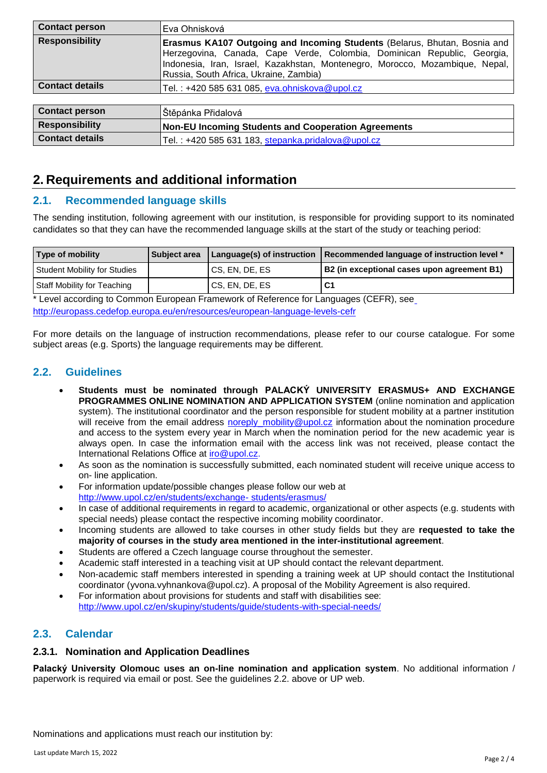| <b>Contact person</b>  | Eva Ohnisková                                                                                                                                                                                                                                                                  |  |
|------------------------|--------------------------------------------------------------------------------------------------------------------------------------------------------------------------------------------------------------------------------------------------------------------------------|--|
| <b>Responsibility</b>  | Erasmus KA107 Outgoing and Incoming Students (Belarus, Bhutan, Bosnia and<br>Herzegovina, Canada, Cape Verde, Colombia, Dominican Republic, Georgia,<br>Indonesia, Iran, Israel, Kazakhstan, Montenegro, Morocco, Mozambique, Nepal,<br>Russia, South Africa, Ukraine, Zambia) |  |
| <b>Contact details</b> | Tel.: +420 585 631 085, eva.ohniskova@upol.cz                                                                                                                                                                                                                                  |  |
|                        |                                                                                                                                                                                                                                                                                |  |
| <b>Contact person</b>  | Štěpánka Přidalová                                                                                                                                                                                                                                                             |  |
| <b>Responsibility</b>  | <b>Non-EU Incoming Students and Cooperation Agreements</b>                                                                                                                                                                                                                     |  |

## **2. Requirements and additional information**

#### **2.1. Recommended language skills**

The sending institution, following agreement with our institution, is responsible for providing support to its nominated candidates so that they can have the recommended language skills at the start of the study or teaching period:

| <b>Type of mobility</b>      | <b>Subject area</b> |                  | Language(s) of instruction   Recommended language of instruction level * |
|------------------------------|---------------------|------------------|--------------------------------------------------------------------------|
| Student Mobility for Studies |                     | I CS, EN, DE, ES | B2 (in exceptional cases upon agreement B1)                              |
| Staff Mobility for Teaching  |                     | CS, EN, DE, ES   | <b>C1</b>                                                                |

\* Level according to Common European Framework of Reference for Languages (CEFR), see <http://europass.cedefop.europa.eu/en/resources/european-language-levels-cefr>

**Contact details** Tel. : +420 585 631 183, stepanka.pridalova@upol.cz

For more details on the language of instruction recommendations, please refer to our course catalogue. For some subject areas (e.g. Sports) the language requirements may be different.

#### **2.2. Guidelines**

- **Students must be nominated through PALACKÝ UNIVERSITY ERASMUS+ AND EXCHANGE PROGRAMMES ONLINE NOMINATION AND APPLICATION SYSTEM** (online nomination and application system). The institutional coordinator and the person responsible for student mobility at a partner institution will receive from the email address noreply mobility@upol.cz information about the nomination procedure and access to the system every year in March when the nomination period for the new academic year is always open. In case the information email with the access link was not received, please contact the International Relations Office at [iro@upol.cz.](mailto:iro@upol.cz)
- As soon as the nomination is successfully submitted, each nominated student will receive unique access to on- line application.
- For information update/possible changes please follow our web at [http://www.upol.cz/en/students/exchange-](http://www.upol.cz/en/students/exchange-students/erasmus/) [students/erasmus/](http://www.upol.cz/en/students/exchange-students/erasmus/)
- In case of additional requirements in regard to academic, organizational or other aspects (e.g. students with special needs) please contact the respective incoming mobility coordinator.
- Incoming students are allowed to take courses in other study fields but they are **requested to take the majority of courses in the study area mentioned in the inter-institutional agreement**.
- Students are offered a Czech language course throughout the semester.
- Academic staff interested in a teaching visit at UP should contact the relevant department.
- Non-academic staff members interested in spending a training week at UP should contact the Institutional coordinator (yvona.vyhnankova@upol.cz). A proposal of the Mobility Agreement is also required.
- For information about provisions for students and staff with disabilities see: <http://www.upol.cz/en/skupiny/students/guide/students-with-special-needs/>

#### **2.3. Calendar**

#### **2.3.1. Nomination and Application Deadlines**

**Palacký University Olomouc uses an on-line nomination and application system**. No additional information / paperwork is required via email or post. See the guidelines 2.2. above or UP web.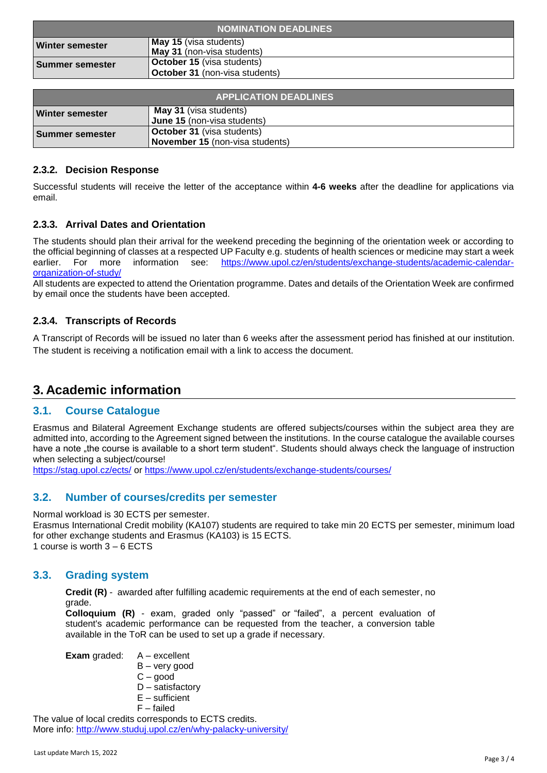| <b>NOMINATION DEADLINES</b> |                                                                            |
|-----------------------------|----------------------------------------------------------------------------|
| <b>Winter semester</b>      | May 15 (visa students)<br><b>May 31</b> (non-visa students)                |
| Summer semester             | <b>October 15</b> (visa students)<br><b>October 31</b> (non-visa students) |

| <b>APPLICATION DEADLINES</b> |                                                                             |
|------------------------------|-----------------------------------------------------------------------------|
| <b>Winter semester</b>       | <b>May 31</b> (visa students)<br><b>June 15</b> (non-visa students)         |
| Summer semester              | <b>October 31</b> (visa students)<br><b>November 15</b> (non-visa students) |

#### **2.3.2. Decision Response**

Successful students will receive the letter of the acceptance within **4-6 weeks** after the deadline for applications via email.

#### **2.3.3. Arrival Dates and Orientation**

The students should plan their arrival for the weekend preceding the beginning of the orientation week or according to the official beginning of classes at a respected UP Faculty e.g. students of health sciences or medicine may start a week earlier. For more information see: [https://www.upol.cz/en/students/exchange-students/academic-calendar](https://www.upol.cz/en/students/exchange-students/academic-calendar-organization-of-study/)[organization-of-study/](https://www.upol.cz/en/students/exchange-students/academic-calendar-organization-of-study/)

All students are expected to attend the Orientation programme. Dates and details of the Orientation Week are confirmed by email once the students have been accepted.

#### **2.3.4. Transcripts of Records**

A Transcript of Records will be issued no later than 6 weeks after the assessment period has finished at our institution. The student is receiving a notification email with a link to access the document.

### **3. Academic information**

#### **3.1. Course Catalogue**

Erasmus and Bilateral Agreement Exchange students are offered subjects/courses within the subject area they are admitted into, according to the Agreement signed between the institutions. In the course catalogue the available courses have a note "the course is available to a short term student". Students should always check the language of instruction when selecting a subject/course!

<https://stag.upol.cz/ects/> or<https://www.upol.cz/en/students/exchange-students/courses/>

#### **3.2. Number of courses/credits per semester**

Normal workload is 30 ECTS per semester.

Erasmus International Credit mobility (KA107) students are required to take min 20 ECTS per semester, minimum load for other exchange students and Erasmus (KA103) is 15 ECTS. 1 course is worth 3 – 6 ECTS

#### **3.3. Grading system**

**Credit (R)** - awarded after fulfilling academic requirements at the end of each semester, no grade.

**Colloquium (R)** - exam, graded only "passed" or "failed", a percent evaluation of student's academic performance can be requested from the teacher, a conversion table available in the ToR can be used to set up a grade if necessary.

**Exam** graded: A – excellent

- B very good
- C good
- D satisfactory
- $E -$  sufficient

F – failed

The value of local credits corresponds to ECTS credits. More info:<http://www.studuj.upol.cz/en/why-palacky-university/>